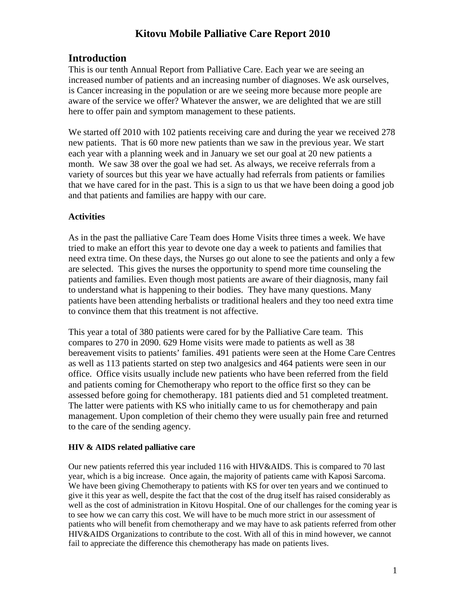# **Kitovu Mobile Palliative Care Report 2010**

# **Introduction**

This is our tenth Annual Report from Palliative Care. Each year we are seeing an increased number of patients and an increasing number of diagnoses. We ask ourselves, is Cancer increasing in the population or are we seeing more because more people are aware of the service we offer? Whatever the answer, we are delighted that we are still here to offer pain and symptom management to these patients.

We started off 2010 with 102 patients receiving care and during the year we received 278 new patients. That is 60 more new patients than we saw in the previous year. We start each year with a planning week and in January we set our goal at 20 new patients a month. We saw 38 over the goal we had set. As always, we receive referrals from a variety of sources but this year we have actually had referrals from patients or families that we have cared for in the past. This is a sign to us that we have been doing a good job and that patients and families are happy with our care.

#### **Activities**

As in the past the palliative Care Team does Home Visits three times a week. We have tried to make an effort this year to devote one day a week to patients and families that need extra time. On these days, the Nurses go out alone to see the patients and only a few are selected. This gives the nurses the opportunity to spend more time counseling the patients and families. Even though most patients are aware of their diagnosis, many fail to understand what is happening to their bodies. They have many questions. Many patients have been attending herbalists or traditional healers and they too need extra time to convince them that this treatment is not affective.

This year a total of 380 patients were cared for by the Palliative Care team. This compares to 270 in 2090. 629 Home visits were made to patients as well as 38 bereavement visits to patients' families. 491 patients were seen at the Home Care Centres as well as 113 patients started on step two analgesics and 464 patients were seen in our office. Office visits usually include new patients who have been referred from the field and patients coming for Chemotherapy who report to the office first so they can be assessed before going for chemotherapy. 181 patients died and 51 completed treatment. The latter were patients with KS who initially came to us for chemotherapy and pain management. Upon completion of their chemo they were usually pain free and returned to the care of the sending agency.

#### **HIV & AIDS related palliative care**

Our new patients referred this year included 116 with HIV&AIDS. This is compared to 70 last year, which is a big increase. Once again, the majority of patients came with Kaposi Sarcoma. We have been giving Chemotherapy to patients with KS for over ten years and we continued to give it this year as well, despite the fact that the cost of the drug itself has raised considerably as well as the cost of administration in Kitovu Hospital. One of our challenges for the coming year is to see how we can carry this cost. We will have to be much more strict in our assessment of patients who will benefit from chemotherapy and we may have to ask patients referred from other HIV&AIDS Organizations to contribute to the cost. With all of this in mind however, we cannot fail to appreciate the difference this chemotherapy has made on patients lives.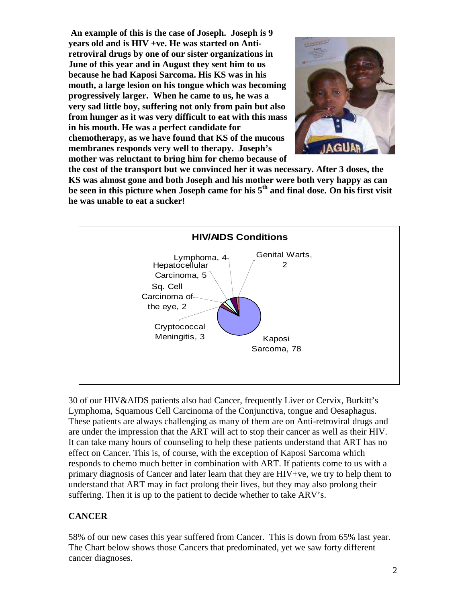**An example of this is the case of Joseph. Joseph is 9 years old and is HIV +ve. He was started on Antiretroviral drugs by one of our sister organizations in June of this year and in August they sent him to us because he had Kaposi Sarcoma. His KS was in his mouth, a large lesion on his tongue which was becoming progressively larger. When he came to us, he was a very sad little boy, suffering not only from pain but also from hunger as it was very difficult to eat with this mass in his mouth. He was a perfect candidate for chemotherapy, as we have found that KS of the mucous membranes responds very well to therapy. Joseph's mother was reluctant to bring him for chemo because of** 



**the cost of the transport but we convinced her it was necessary. After 3 doses, the KS was almost gone and both Joseph and his mother were both very happy as can be seen in this picture when Joseph came for his 5th and final dose. On his first visit he was unable to eat a sucker!** 



30 of our HIV&AIDS patients also had Cancer, frequently Liver or Cervix, Burkitt's Lymphoma, Squamous Cell Carcinoma of the Conjunctiva, tongue and Oesaphagus. These patients are always challenging as many of them are on Anti-retroviral drugs and are under the impression that the ART will act to stop their cancer as well as their HIV. It can take many hours of counseling to help these patients understand that ART has no effect on Cancer. This is, of course, with the exception of Kaposi Sarcoma which responds to chemo much better in combination with ART. If patients come to us with a primary diagnosis of Cancer and later learn that they are HIV+ve, we try to help them to understand that ART may in fact prolong their lives, but they may also prolong their suffering. Then it is up to the patient to decide whether to take ARV's.

#### **CANCER**

58% of our new cases this year suffered from Cancer. This is down from 65% last year. The Chart below shows those Cancers that predominated, yet we saw forty different cancer diagnoses.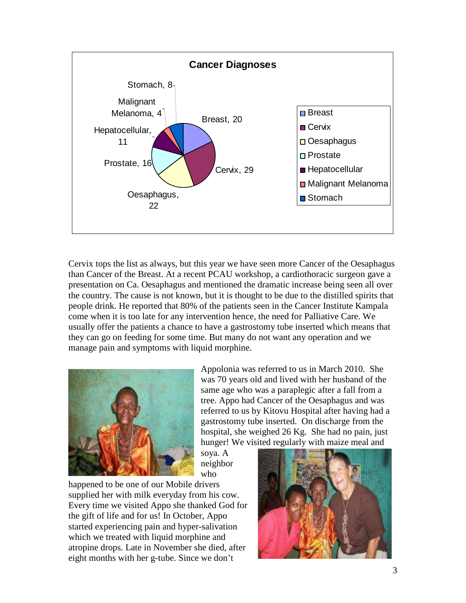

Cervix tops the list as always, but this year we have seen more Cancer of the Oesaphagus than Cancer of the Breast. At a recent PCAU workshop, a cardiothoracic surgeon gave a presentation on Ca. Oesaphagus and mentioned the dramatic increase being seen all over the country. The cause is not known, but it is thought to be due to the distilled spirits that people drink. He reported that 80% of the patients seen in the Cancer Institute Kampala come when it is too late for any intervention hence, the need for Palliative Care. We usually offer the patients a chance to have a gastrostomy tube inserted which means that they can go on feeding for some time. But many do not want any operation and we manage pain and symptoms with liquid morphine.



Appolonia was referred to us in March 2010. She was 70 years old and lived with her husband of the same age who was a paraplegic after a fall from a tree. Appo had Cancer of the Oesaphagus and was referred to us by Kitovu Hospital after having had a gastrostomy tube inserted. On discharge from the hospital, she weighed 26 Kg. She had no pain, just hunger! We visited regularly with maize meal and

soya. A neighbor who

happened to be one of our Mobile drivers supplied her with milk everyday from his cow. Every time we visited Appo she thanked God for the gift of life and for us! In October, Appo started experiencing pain and hyper-salivation which we treated with liquid morphine and atropine drops. Late in November she died, after eight months with her g-tube. Since we don't

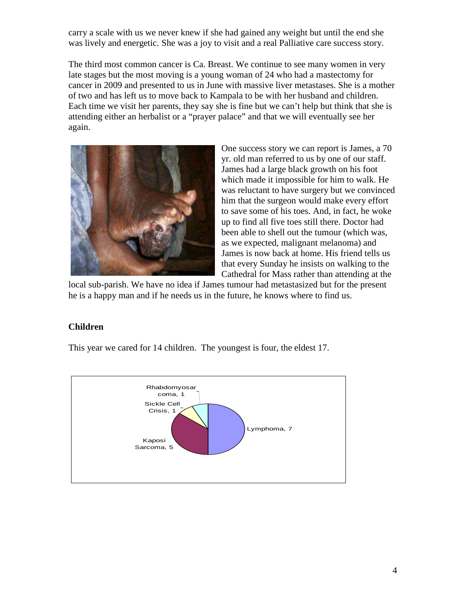carry a scale with us we never knew if she had gained any weight but until the end she was lively and energetic. She was a joy to visit and a real Palliative care success story.

The third most common cancer is Ca. Breast. We continue to see many women in very late stages but the most moving is a young woman of 24 who had a mastectomy for cancer in 2009 and presented to us in June with massive liver metastases. She is a mother of two and has left us to move back to Kampala to be with her husband and children. Each time we visit her parents, they say she is fine but we can't help but think that she is attending either an herbalist or a "prayer palace" and that we will eventually see her again.



One success story we can report is James, a 70 yr. old man referred to us by one of our staff. James had a large black growth on his foot which made it impossible for him to walk. He was reluctant to have surgery but we convinced him that the surgeon would make every effort to save some of his toes. And, in fact, he woke up to find all five toes still there. Doctor had been able to shell out the tumour (which was, as we expected, malignant melanoma) and James is now back at home. His friend tells us that every Sunday he insists on walking to the Cathedral for Mass rather than attending at the

local sub-parish. We have no idea if James tumour had metastasized but for the present he is a happy man and if he needs us in the future, he knows where to find us.

# **Children**

This year we cared for 14 children. The youngest is four, the eldest 17.

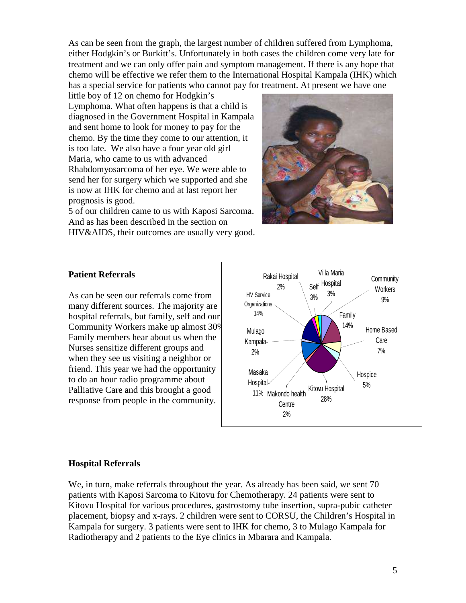As can be seen from the graph, the largest number of children suffered from Lymphoma, either Hodgkin's or Burkitt's. Unfortunately in both cases the children come very late for treatment and we can only offer pain and symptom management. If there is any hope that chemo will be effective we refer them to the International Hospital Kampala (IHK) which has a special service for patients who cannot pay for treatment. At present we have one

little boy of 12 on chemo for Hodgkin's Lymphoma. What often happens is that a child is diagnosed in the Government Hospital in Kampala and sent home to look for money to pay for the chemo. By the time they come to our attention, it is too late. We also have a four year old girl Maria, who came to us with advanced Rhabdomyosarcoma of her eye. We were able to send her for surgery which we supported and she is now at IHK for chemo and at last report her prognosis is good.

5 of our children came to us with Kaposi Sarcoma. And as has been described in the section on HIV&AIDS, their outcomes are usually very good.



#### **Patient Referrals**

As can be seen our referrals come from many different sources. The majority are hospital referrals, but family, self and our Community Workers make up almost 30%. Family members hear about us when the Nurses sensitize different groups and when they see us visiting a neighbor or friend. This year we had the opportunity to do an hour radio programme about Palliative Care and this brought a good response from people in the community.



#### **Hospital Referrals**

We, in turn, make referrals throughout the year. As already has been said, we sent 70 patients with Kaposi Sarcoma to Kitovu for Chemotherapy. 24 patients were sent to Kitovu Hospital for various procedures, gastrostomy tube insertion, supra-pubic catheter placement, biopsy and x-rays. 2 children were sent to CORSU, the Children's Hospital in Kampala for surgery. 3 patients were sent to IHK for chemo, 3 to Mulago Kampala for Radiotherapy and 2 patients to the Eye clinics in Mbarara and Kampala.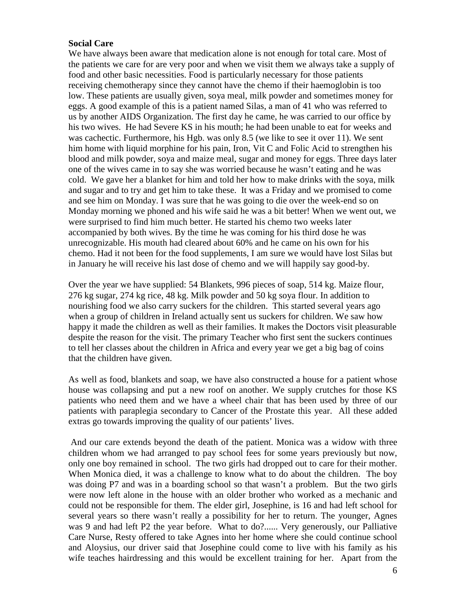#### **Social Care**

We have always been aware that medication alone is not enough for total care. Most of the patients we care for are very poor and when we visit them we always take a supply of food and other basic necessities. Food is particularly necessary for those patients receiving chemotherapy since they cannot have the chemo if their haemoglobin is too low. These patients are usually given, soya meal, milk powder and sometimes money for eggs. A good example of this is a patient named Silas, a man of 41 who was referred to us by another AIDS Organization. The first day he came, he was carried to our office by his two wives. He had Severe KS in his mouth; he had been unable to eat for weeks and was cachectic. Furthermore, his Hgb. was only 8.5 (we like to see it over 11). We sent him home with liquid morphine for his pain, Iron, Vit C and Folic Acid to strengthen his blood and milk powder, soya and maize meal, sugar and money for eggs. Three days later one of the wives came in to say she was worried because he wasn't eating and he was cold. We gave her a blanket for him and told her how to make drinks with the soya, milk and sugar and to try and get him to take these. It was a Friday and we promised to come and see him on Monday. I was sure that he was going to die over the week-end so on Monday morning we phoned and his wife said he was a bit better! When we went out, we were surprised to find him much better. He started his chemo two weeks later accompanied by both wives. By the time he was coming for his third dose he was unrecognizable. His mouth had cleared about 60% and he came on his own for his chemo. Had it not been for the food supplements, I am sure we would have lost Silas but in January he will receive his last dose of chemo and we will happily say good-by.

Over the year we have supplied: 54 Blankets, 996 pieces of soap, 514 kg. Maize flour, 276 kg sugar, 274 kg rice, 48 kg. Milk powder and 50 kg soya flour. In addition to nourishing food we also carry suckers for the children. This started several years ago when a group of children in Ireland actually sent us suckers for children. We saw how happy it made the children as well as their families. It makes the Doctors visit pleasurable despite the reason for the visit. The primary Teacher who first sent the suckers continues to tell her classes about the children in Africa and every year we get a big bag of coins that the children have given.

As well as food, blankets and soap, we have also constructed a house for a patient whose house was collapsing and put a new roof on another. We supply crutches for those KS patients who need them and we have a wheel chair that has been used by three of our patients with paraplegia secondary to Cancer of the Prostate this year. All these added extras go towards improving the quality of our patients' lives.

 And our care extends beyond the death of the patient. Monica was a widow with three children whom we had arranged to pay school fees for some years previously but now, only one boy remained in school. The two girls had dropped out to care for their mother. When Monica died, it was a challenge to know what to do about the children. The boy was doing P7 and was in a boarding school so that wasn't a problem. But the two girls were now left alone in the house with an older brother who worked as a mechanic and could not be responsible for them. The elder girl, Josephine, is 16 and had left school for several years so there wasn't really a possibility for her to return. The younger, Agnes was 9 and had left P2 the year before. What to do?...... Very generously, our Palliative Care Nurse, Resty offered to take Agnes into her home where she could continue school and Aloysius, our driver said that Josephine could come to live with his family as his wife teaches hairdressing and this would be excellent training for her. Apart from the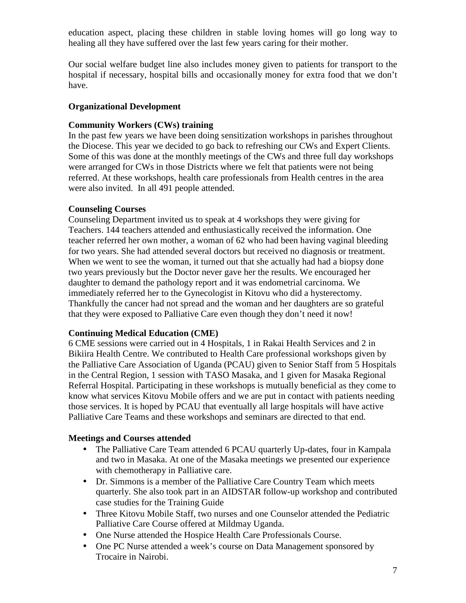education aspect, placing these children in stable loving homes will go long way to healing all they have suffered over the last few years caring for their mother.

Our social welfare budget line also includes money given to patients for transport to the hospital if necessary, hospital bills and occasionally money for extra food that we don't have.

#### **Organizational Development**

#### **Community Workers (CWs) training**

In the past few years we have been doing sensitization workshops in parishes throughout the Diocese. This year we decided to go back to refreshing our CWs and Expert Clients. Some of this was done at the monthly meetings of the CWs and three full day workshops were arranged for CWs in those Districts where we felt that patients were not being referred. At these workshops, health care professionals from Health centres in the area were also invited. In all 491 people attended.

## **Counseling Courses**

Counseling Department invited us to speak at 4 workshops they were giving for Teachers. 144 teachers attended and enthusiastically received the information. One teacher referred her own mother, a woman of 62 who had been having vaginal bleeding for two years. She had attended several doctors but received no diagnosis or treatment. When we went to see the woman, it turned out that she actually had had a biopsy done two years previously but the Doctor never gave her the results. We encouraged her daughter to demand the pathology report and it was endometrial carcinoma. We immediately referred her to the Gynecologist in Kitovu who did a hysterectomy. Thankfully the cancer had not spread and the woman and her daughters are so grateful that they were exposed to Palliative Care even though they don't need it now!

#### **Continuing Medical Education (CME)**

6 CME sessions were carried out in 4 Hospitals, 1 in Rakai Health Services and 2 in Bikiira Health Centre. We contributed to Health Care professional workshops given by the Palliative Care Association of Uganda (PCAU) given to Senior Staff from 5 Hospitals in the Central Region, 1 session with TASO Masaka, and 1 given for Masaka Regional Referral Hospital. Participating in these workshops is mutually beneficial as they come to know what services Kitovu Mobile offers and we are put in contact with patients needing those services. It is hoped by PCAU that eventually all large hospitals will have active Palliative Care Teams and these workshops and seminars are directed to that end.

#### **Meetings and Courses attended**

- The Palliative Care Team attended 6 PCAU quarterly Up-dates, four in Kampala and two in Masaka. At one of the Masaka meetings we presented our experience with chemotherapy in Palliative care.
- Dr. Simmons is a member of the Palliative Care Country Team which meets quarterly. She also took part in an AIDSTAR follow-up workshop and contributed case studies for the Training Guide
- Three Kitovu Mobile Staff, two nurses and one Counselor attended the Pediatric Palliative Care Course offered at Mildmay Uganda.
- One Nurse attended the Hospice Health Care Professionals Course.
- One PC Nurse attended a week's course on Data Management sponsored by Trocaire in Nairobi.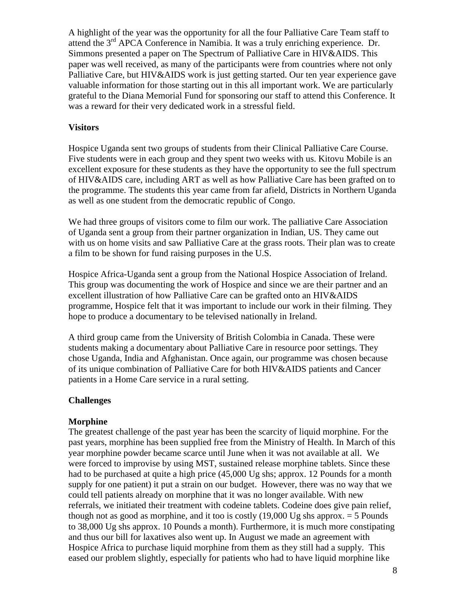A highlight of the year was the opportunity for all the four Palliative Care Team staff to attend the  $3<sup>rd</sup>$  APCA Conference in Namibia. It was a truly enriching experience. Dr. Simmons presented a paper on The Spectrum of Palliative Care in HIV&AIDS. This paper was well received, as many of the participants were from countries where not only Palliative Care, but HIV&AIDS work is just getting started. Our ten year experience gave valuable information for those starting out in this all important work. We are particularly grateful to the Diana Memorial Fund for sponsoring our staff to attend this Conference. It was a reward for their very dedicated work in a stressful field.

#### **Visitors**

Hospice Uganda sent two groups of students from their Clinical Palliative Care Course. Five students were in each group and they spent two weeks with us. Kitovu Mobile is an excellent exposure for these students as they have the opportunity to see the full spectrum of HIV&AIDS care, including ART as well as how Palliative Care has been grafted on to the programme. The students this year came from far afield, Districts in Northern Uganda as well as one student from the democratic republic of Congo.

We had three groups of visitors come to film our work. The palliative Care Association of Uganda sent a group from their partner organization in Indian, US. They came out with us on home visits and saw Palliative Care at the grass roots. Their plan was to create a film to be shown for fund raising purposes in the U.S.

Hospice Africa-Uganda sent a group from the National Hospice Association of Ireland. This group was documenting the work of Hospice and since we are their partner and an excellent illustration of how Palliative Care can be grafted onto an HIV&AIDS programme, Hospice felt that it was important to include our work in their filming. They hope to produce a documentary to be televised nationally in Ireland.

A third group came from the University of British Colombia in Canada. These were students making a documentary about Palliative Care in resource poor settings. They chose Uganda, India and Afghanistan. Once again, our programme was chosen because of its unique combination of Palliative Care for both HIV&AIDS patients and Cancer patients in a Home Care service in a rural setting.

#### **Challenges**

#### **Morphine**

The greatest challenge of the past year has been the scarcity of liquid morphine. For the past years, morphine has been supplied free from the Ministry of Health. In March of this year morphine powder became scarce until June when it was not available at all. We were forced to improvise by using MST, sustained release morphine tablets. Since these had to be purchased at quite a high price (45,000 Ug shs; approx. 12 Pounds for a month supply for one patient) it put a strain on our budget. However, there was no way that we could tell patients already on morphine that it was no longer available. With new referrals, we initiated their treatment with codeine tablets. Codeine does give pain relief, though not as good as morphine, and it too is costly  $(19,000 \text{ Ug} \text{ shs}$  approx.  $= 5 \text{ pounds}$ to 38,000 Ug shs approx. 10 Pounds a month). Furthermore, it is much more constipating and thus our bill for laxatives also went up. In August we made an agreement with Hospice Africa to purchase liquid morphine from them as they still had a supply. This eased our problem slightly, especially for patients who had to have liquid morphine like